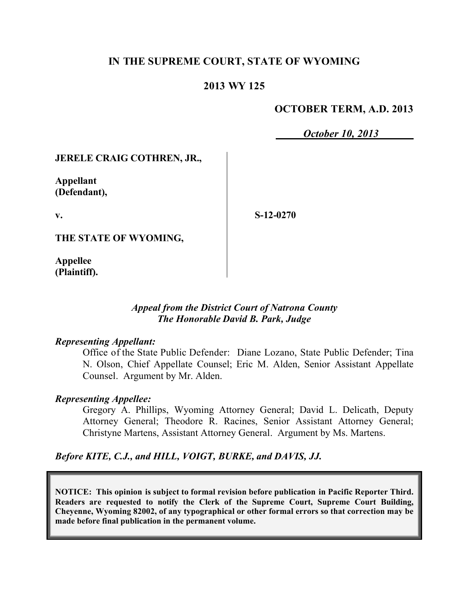## **IN THE SUPREME COURT, STATE OF WYOMING**

### **2013 WY 125**

### **OCTOBER TERM, A.D. 2013**

*October 10, 2013*

### **JERELE CRAIG COTHREN, JR.,**

**Appellant (Defendant),**

**v.**

**S-12-0270**

**THE STATE OF WYOMING,**

**Appellee (Plaintiff).**

### *Appeal from the District Court of Natrona County The Honorable David B. Park, Judge*

#### *Representing Appellant:*

Office of the State Public Defender: Diane Lozano, State Public Defender; Tina N. Olson, Chief Appellate Counsel; Eric M. Alden, Senior Assistant Appellate Counsel. Argument by Mr. Alden.

#### *Representing Appellee:*

Gregory A. Phillips, Wyoming Attorney General; David L. Delicath, Deputy Attorney General; Theodore R. Racines, Senior Assistant Attorney General; Christyne Martens, Assistant Attorney General. Argument by Ms. Martens.

*Before KITE, C.J., and HILL, VOIGT, BURKE, and DAVIS, JJ.*

**NOTICE: This opinion is subject to formal revision before publication in Pacific Reporter Third. Readers are requested to notify the Clerk of the Supreme Court, Supreme Court Building, Cheyenne, Wyoming 82002, of any typographical or other formal errors so that correction may be made before final publication in the permanent volume.**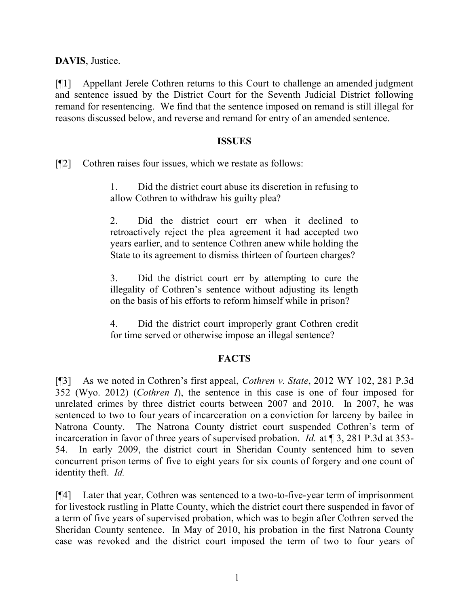**DAVIS**, Justice.

[¶1] Appellant Jerele Cothren returns to this Court to challenge an amended judgment and sentence issued by the District Court for the Seventh Judicial District following remand for resentencing. We find that the sentence imposed on remand is still illegal for reasons discussed below, and reverse and remand for entry of an amended sentence.

### **ISSUES**

[¶2] Cothren raises four issues, which we restate as follows:

1. Did the district court abuse its discretion in refusing to allow Cothren to withdraw his guilty plea?

2. Did the district court err when it declined to retroactively reject the plea agreement it had accepted two years earlier, and to sentence Cothren anew while holding the State to its agreement to dismiss thirteen of fourteen charges?

3. Did the district court err by attempting to cure the illegality of Cothren's sentence without adjusting its length on the basis of his efforts to reform himself while in prison?

4. Did the district court improperly grant Cothren credit for time served or otherwise impose an illegal sentence?

# **FACTS**

[¶3] As we noted in Cothren's first appeal, *Cothren v. State*, 2012 WY 102, 281 P.3d 352 (Wyo. 2012) (*Cothren I*), the sentence in this case is one of four imposed for unrelated crimes by three district courts between 2007 and 2010. In 2007, he was sentenced to two to four years of incarceration on a conviction for larceny by bailee in Natrona County. The Natrona County district court suspended Cothren's term of incarceration in favor of three years of supervised probation. *Id.* at ¶ 3, 281 P.3d at 353- 54. In early 2009, the district court in Sheridan County sentenced him to seven concurrent prison terms of five to eight years for six counts of forgery and one count of identity theft. *Id.*

[¶4] Later that year, Cothren was sentenced to a two-to-five-year term of imprisonment for livestock rustling in Platte County, which the district court there suspended in favor of a term of five years of supervised probation, which was to begin after Cothren served the Sheridan County sentence. In May of 2010, his probation in the first Natrona County case was revoked and the district court imposed the term of two to four years of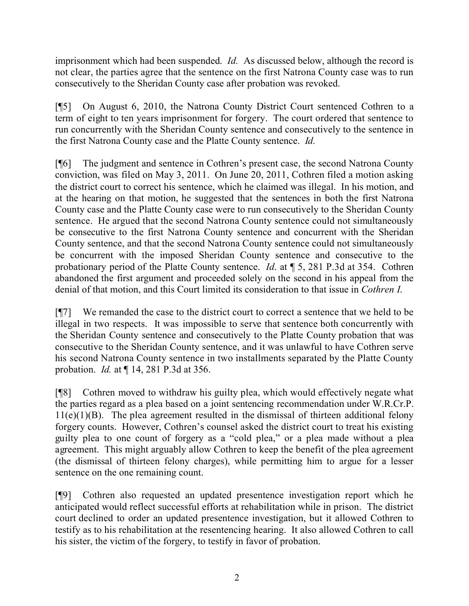imprisonment which had been suspended. *Id.* As discussed below, although the record is not clear, the parties agree that the sentence on the first Natrona County case was to run consecutively to the Sheridan County case after probation was revoked.

[¶5] On August 6, 2010, the Natrona County District Court sentenced Cothren to a term of eight to ten years imprisonment for forgery. The court ordered that sentence to run concurrently with the Sheridan County sentence and consecutively to the sentence in the first Natrona County case and the Platte County sentence. *Id.*

[¶6] The judgment and sentence in Cothren's present case, the second Natrona County conviction, was filed on May 3, 2011. On June 20, 2011, Cothren filed a motion asking the district court to correct his sentence, which he claimed was illegal. In his motion, and at the hearing on that motion, he suggested that the sentences in both the first Natrona County case and the Platte County case were to run consecutively to the Sheridan County sentence. He argued that the second Natrona County sentence could not simultaneously be consecutive to the first Natrona County sentence and concurrent with the Sheridan County sentence, and that the second Natrona County sentence could not simultaneously be concurrent with the imposed Sheridan County sentence and consecutive to the probationary period of the Platte County sentence. *Id*. at ¶ 5, 281 P.3d at 354. Cothren abandoned the first argument and proceeded solely on the second in his appeal from the denial of that motion, and this Court limited its consideration to that issue in *Cothren I*.

[¶7] We remanded the case to the district court to correct a sentence that we held to be illegal in two respects. It was impossible to serve that sentence both concurrently with the Sheridan County sentence and consecutively to the Platte County probation that was consecutive to the Sheridan County sentence, and it was unlawful to have Cothren serve his second Natrona County sentence in two installments separated by the Platte County probation. *Id.* at ¶ 14, 281 P.3d at 356.

[¶8] Cothren moved to withdraw his guilty plea, which would effectively negate what the parties regard as a plea based on a joint sentencing recommendation under W.R.Cr.P.  $11(e)(1)(B)$ . The plea agreement resulted in the dismissal of thirteen additional felony forgery counts. However, Cothren's counsel asked the district court to treat his existing guilty plea to one count of forgery as a "cold plea," or a plea made without a plea agreement. This might arguably allow Cothren to keep the benefit of the plea agreement (the dismissal of thirteen felony charges), while permitting him to argue for a lesser sentence on the one remaining count.

[¶9] Cothren also requested an updated presentence investigation report which he anticipated would reflect successful efforts at rehabilitation while in prison. The district court declined to order an updated presentence investigation, but it allowed Cothren to testify as to his rehabilitation at the resentencing hearing. It also allowed Cothren to call his sister, the victim of the forgery, to testify in favor of probation.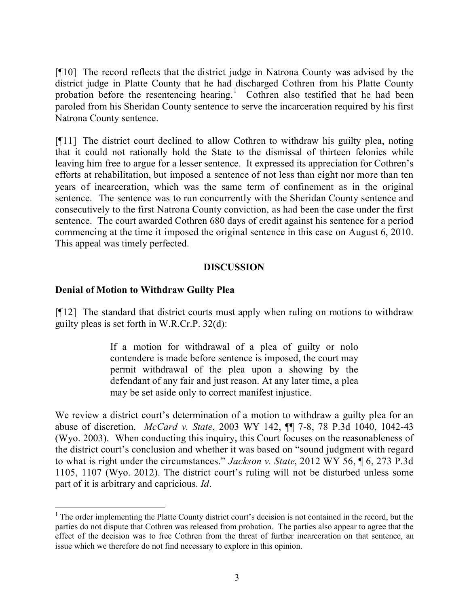[¶10] The record reflects that the district judge in Natrona County was advised by the district judge in Platte County that he had discharged Cothren from his Platte County probation before the resentencing hearing.<sup>1</sup> Cothren also testified that he had been paroled from his Sheridan County sentence to serve the incarceration required by his first Natrona County sentence.

[¶11] The district court declined to allow Cothren to withdraw his guilty plea, noting that it could not rationally hold the State to the dismissal of thirteen felonies while leaving him free to argue for a lesser sentence. It expressed its appreciation for Cothren's efforts at rehabilitation, but imposed a sentence of not less than eight nor more than ten years of incarceration, which was the same term of confinement as in the original sentence. The sentence was to run concurrently with the Sheridan County sentence and consecutively to the first Natrona County conviction, as had been the case under the first sentence. The court awarded Cothren 680 days of credit against his sentence for a period commencing at the time it imposed the original sentence in this case on August 6, 2010. This appeal was timely perfected.

# **DISCUSSION**

# **Denial of Motion to Withdraw Guilty Plea**

 $\overline{a}$ 

[¶12] The standard that district courts must apply when ruling on motions to withdraw guilty pleas is set forth in W.R.Cr.P. 32(d):

> If a motion for withdrawal of a plea of guilty or nolo contendere is made before sentence is imposed, the court may permit withdrawal of the plea upon a showing by the defendant of any fair and just reason. At any later time, a plea may be set aside only to correct manifest injustice.

We review a district court's determination of a motion to withdraw a guilty plea for an abuse of discretion. *McCard v. State*, 2003 WY 142, ¶¶ 7-8, 78 P.3d 1040, 1042-43 (Wyo. 2003). When conducting this inquiry, this Court focuses on the reasonableness of the district court's conclusion and whether it was based on "sound judgment with regard to what is right under the circumstances." *Jackson v. State*, 2012 WY 56, ¶ 6, 273 P.3d 1105, 1107 (Wyo. 2012). The district court's ruling will not be disturbed unless some part of it is arbitrary and capricious. *Id*.

<sup>&</sup>lt;sup>1</sup> The order implementing the Platte County district court's decision is not contained in the record, but the parties do not dispute that Cothren was released from probation. The parties also appear to agree that the effect of the decision was to free Cothren from the threat of further incarceration on that sentence, an issue which we therefore do not find necessary to explore in this opinion.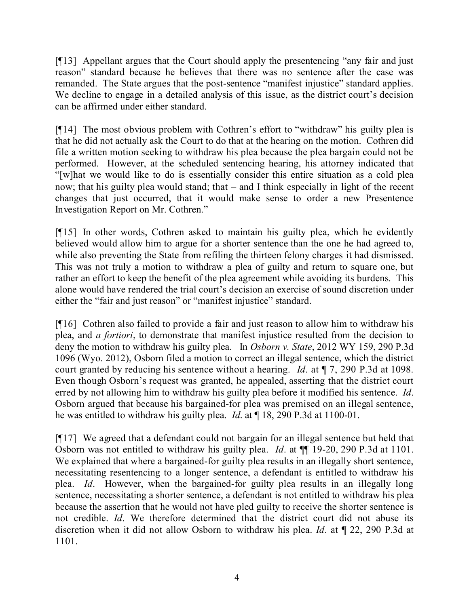[¶13] Appellant argues that the Court should apply the presentencing "any fair and just reason" standard because he believes that there was no sentence after the case was remanded. The State argues that the post-sentence "manifest injustice" standard applies. We decline to engage in a detailed analysis of this issue, as the district court's decision can be affirmed under either standard.

[¶14] The most obvious problem with Cothren's effort to "withdraw" his guilty plea is that he did not actually ask the Court to do that at the hearing on the motion. Cothren did file a written motion seeking to withdraw his plea because the plea bargain could not be performed. However, at the scheduled sentencing hearing, his attorney indicated that "[w]hat we would like to do is essentially consider this entire situation as a cold plea now; that his guilty plea would stand; that – and I think especially in light of the recent changes that just occurred, that it would make sense to order a new Presentence Investigation Report on Mr. Cothren."

[¶15] In other words, Cothren asked to maintain his guilty plea, which he evidently believed would allow him to argue for a shorter sentence than the one he had agreed to, while also preventing the State from refiling the thirteen felony charges it had dismissed. This was not truly a motion to withdraw a plea of guilty and return to square one, but rather an effort to keep the benefit of the plea agreement while avoiding its burdens. This alone would have rendered the trial court's decision an exercise of sound discretion under either the "fair and just reason" or "manifest injustice" standard.

[¶16] Cothren also failed to provide a fair and just reason to allow him to withdraw his plea, and *a fortiori*, to demonstrate that manifest injustice resulted from the decision to deny the motion to withdraw his guilty plea. In *Osborn v. State*, 2012 WY 159, 290 P.3d 1096 (Wyo. 2012), Osborn filed a motion to correct an illegal sentence, which the district court granted by reducing his sentence without a hearing. *Id*. at ¶ 7, 290 P.3d at 1098. Even though Osborn's request was granted, he appealed, asserting that the district court erred by not allowing him to withdraw his guilty plea before it modified his sentence. *Id*. Osborn argued that because his bargained-for plea was premised on an illegal sentence, he was entitled to withdraw his guilty plea. *Id*. at ¶ 18, 290 P.3d at 1100-01.

[¶17] We agreed that a defendant could not bargain for an illegal sentence but held that Osborn was not entitled to withdraw his guilty plea. *Id*. at ¶¶ 19-20, 290 P.3d at 1101. We explained that where a bargained-for guilty plea results in an illegally short sentence, necessitating resentencing to a longer sentence, a defendant is entitled to withdraw his plea. *Id*. However, when the bargained-for guilty plea results in an illegally long sentence, necessitating a shorter sentence, a defendant is not entitled to withdraw his plea because the assertion that he would not have pled guilty to receive the shorter sentence is not credible. *Id*. We therefore determined that the district court did not abuse its discretion when it did not allow Osborn to withdraw his plea. *Id*. at ¶ 22, 290 P.3d at 1101.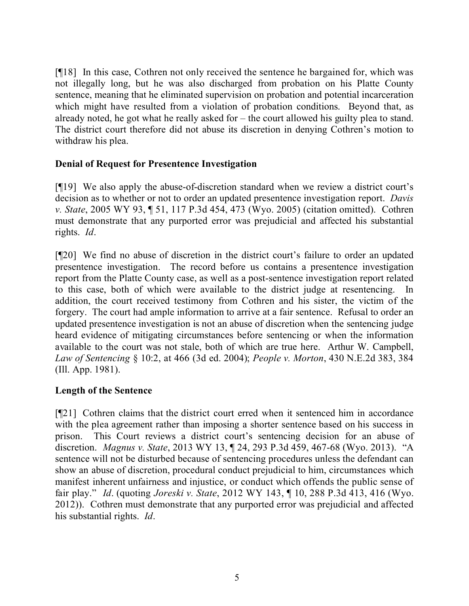[¶18] In this case, Cothren not only received the sentence he bargained for, which was not illegally long, but he was also discharged from probation on his Platte County sentence, meaning that he eliminated supervision on probation and potential incarceration which might have resulted from a violation of probation conditions. Beyond that, as already noted, he got what he really asked for – the court allowed his guilty plea to stand. The district court therefore did not abuse its discretion in denying Cothren's motion to withdraw his plea.

### **Denial of Request for Presentence Investigation**

[¶19] We also apply the abuse-of-discretion standard when we review a district court's decision as to whether or not to order an updated presentence investigation report. *Davis v. State*, 2005 WY 93, ¶ 51, 117 P.3d 454, 473 (Wyo. 2005) (citation omitted). Cothren must demonstrate that any purported error was prejudicial and affected his substantial rights. *Id*.

[¶20] We find no abuse of discretion in the district court's failure to order an updated presentence investigation. The record before us contains a presentence investigation report from the Platte County case, as well as a post-sentence investigation report related to this case, both of which were available to the district judge at resentencing. In addition, the court received testimony from Cothren and his sister, the victim of the forgery. The court had ample information to arrive at a fair sentence. Refusal to order an updated presentence investigation is not an abuse of discretion when the sentencing judge heard evidence of mitigating circumstances before sentencing or when the information available to the court was not stale, both of which are true here. Arthur W. Campbell, *Law of Sentencing* § 10:2, at 466 (3d ed. 2004); *People v. Morton*, 430 N.E.2d 383, 384 (Ill. App. 1981).

# **Length of the Sentence**

[¶21] Cothren claims that the district court erred when it sentenced him in accordance with the plea agreement rather than imposing a shorter sentence based on his success in prison. This Court reviews a district court's sentencing decision for an abuse of discretion. *Magnus v. State*, 2013 WY 13, ¶ 24, 293 P.3d 459, 467-68 (Wyo. 2013). "A sentence will not be disturbed because of sentencing procedures unless the defendant can show an abuse of discretion, procedural conduct prejudicial to him, circumstances which manifest inherent unfairness and injustice, or conduct which offends the public sense of fair play." *Id*. (quoting *Joreski v. State*, 2012 WY 143, ¶ 10, 288 P.3d 413, 416 (Wyo. 2012)). Cothren must demonstrate that any purported error was prejudicial and affected his substantial rights. *Id*.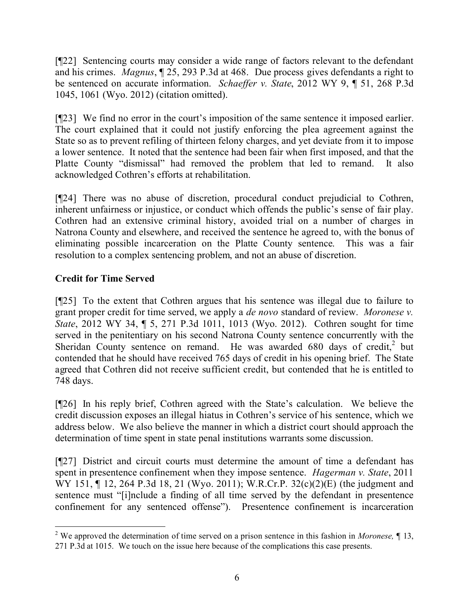[¶22] Sentencing courts may consider a wide range of factors relevant to the defendant and his crimes. *Magnus*, ¶ 25, 293 P.3d at 468. Due process gives defendants a right to be sentenced on accurate information. *Schaeffer v. State*, 2012 WY 9, ¶ 51, 268 P.3d 1045, 1061 (Wyo. 2012) (citation omitted).

[¶23] We find no error in the court's imposition of the same sentence it imposed earlier. The court explained that it could not justify enforcing the plea agreement against the State so as to prevent refiling of thirteen felony charges, and yet deviate from it to impose a lower sentence. It noted that the sentence had been fair when first imposed, and that the Platte County "dismissal" had removed the problem that led to remand. It also acknowledged Cothren's efforts at rehabilitation.

[¶24] There was no abuse of discretion, procedural conduct prejudicial to Cothren, inherent unfairness or injustice, or conduct which offends the public's sense of fair play. Cothren had an extensive criminal history, avoided trial on a number of charges in Natrona County and elsewhere, and received the sentence he agreed to, with the bonus of eliminating possible incarceration on the Platte County sentence. This was a fair resolution to a complex sentencing problem, and not an abuse of discretion.

# **Credit for Time Served**

[¶25] To the extent that Cothren argues that his sentence was illegal due to failure to grant proper credit for time served, we apply a *de novo* standard of review. *Moronese v. State*, 2012 WY 34, ¶ 5, 271 P.3d 1011, 1013 (Wyo. 2012). Cothren sought for time served in the penitentiary on his second Natrona County sentence concurrently with the Sheridan County sentence on remand. He was awarded  $680$  days of credit,<sup>2</sup> but contended that he should have received 765 days of credit in his opening brief. The State agreed that Cothren did not receive sufficient credit, but contended that he is entitled to 748 days.

[¶26] In his reply brief, Cothren agreed with the State's calculation. We believe the credit discussion exposes an illegal hiatus in Cothren's service of his sentence, which we address below. We also believe the manner in which a district court should approach the determination of time spent in state penal institutions warrants some discussion.

[¶27] District and circuit courts must determine the amount of time a defendant has spent in presentence confinement when they impose sentence. *Hagerman v. State*, 2011 WY 151, 12, 264 P.3d 18, 21 (Wyo. 2011); W.R.Cr.P. 32(c)(2)(E) (the judgment and sentence must "[i]nclude a finding of all time served by the defendant in presentence confinement for any sentenced offense"). Presentence confinement is incarceration

<sup>2</sup> We approved the determination of time served on a prison sentence in this fashion in *Moronese,* ¶ 13, 271 P.3d at 1015. We touch on the issue here because of the complications this case presents.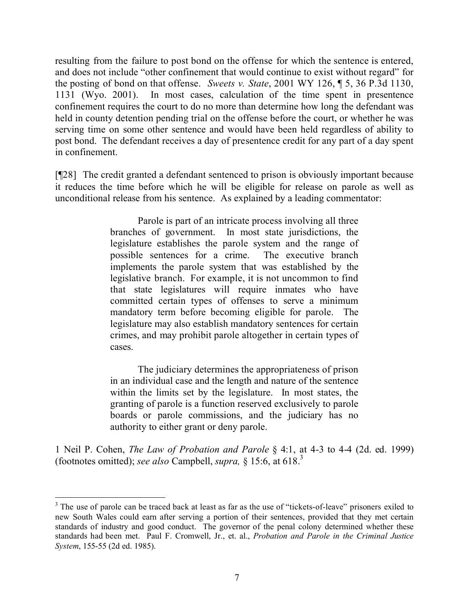resulting from the failure to post bond on the offense for which the sentence is entered, and does not include "other confinement that would continue to exist without regard" for the posting of bond on that offense. *Sweets v. State*, 2001 WY 126, ¶ 5, 36 P.3d 1130, 1131 (Wyo. 2001). In most cases, calculation of the time spent in presentence confinement requires the court to do no more than determine how long the defendant was held in county detention pending trial on the offense before the court, or whether he was serving time on some other sentence and would have been held regardless of ability to post bond. The defendant receives a day of presentence credit for any part of a day spent in confinement.

[¶28] The credit granted a defendant sentenced to prison is obviously important because it reduces the time before which he will be eligible for release on parole as well as unconditional release from his sentence. As explained by a leading commentator:

> Parole is part of an intricate process involving all three branches of government. In most state jurisdictions, the legislature establishes the parole system and the range of possible sentences for a crime. The executive branch implements the parole system that was established by the legislative branch. For example, it is not uncommon to find that state legislatures will require inmates who have committed certain types of offenses to serve a minimum mandatory term before becoming eligible for parole. The legislature may also establish mandatory sentences for certain crimes, and may prohibit parole altogether in certain types of cases.

> The judiciary determines the appropriateness of prison in an individual case and the length and nature of the sentence within the limits set by the legislature. In most states, the granting of parole is a function reserved exclusively to parole boards or parole commissions, and the judiciary has no authority to either grant or deny parole.

1 Neil P. Cohen, *The Law of Probation and Parole* § 4:1, at 4-3 to 4-4 (2d. ed. 1999) (footnotes omitted); *see also* Campbell, *supra,* § 15:6, at 618. 3

<sup>&</sup>lt;sup>3</sup> The use of parole can be traced back at least as far as the use of "tickets-of-leave" prisoners exiled to new South Wales could earn after serving a portion of their sentences, provided that they met certain standards of industry and good conduct. The governor of the penal colony determined whether these standards had been met. Paul F. Cromwell, Jr., et. al., *Probation and Parole in the Criminal Justice System*, 155-55 (2d ed. 1985).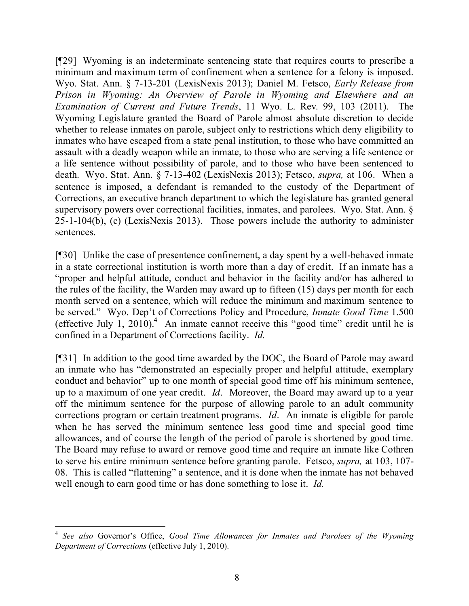[¶29] Wyoming is an indeterminate sentencing state that requires courts to prescribe a minimum and maximum term of confinement when a sentence for a felony is imposed. Wyo. Stat. Ann. § 7-13-201 (LexisNexis 2013); Daniel M. Fetsco, *Early Release from Prison in Wyoming: An Overview of Parole in Wyoming and Elsewhere and an Examination of Current and Future Trends*, 11 Wyo. L. Rev. 99, 103 (2011). The Wyoming Legislature granted the Board of Parole almost absolute discretion to decide whether to release inmates on parole, subject only to restrictions which deny eligibility to inmates who have escaped from a state penal institution, to those who have committed an assault with a deadly weapon while an inmate, to those who are serving a life sentence or a life sentence without possibility of parole, and to those who have been sentenced to death. Wyo. Stat. Ann. § 7-13-402 (LexisNexis 2013); Fetsco, *supra,* at 106. When a sentence is imposed, a defendant is remanded to the custody of the Department of Corrections, an executive branch department to which the legislature has granted general supervisory powers over correctional facilities, inmates, and parolees. Wyo. Stat. Ann. § 25-1-104(b), (c) (LexisNexis 2013). Those powers include the authority to administer sentences.

[¶30] Unlike the case of presentence confinement, a day spent by a well-behaved inmate in a state correctional institution is worth more than a day of credit. If an inmate has a "proper and helpful attitude, conduct and behavior in the facility and/or has adhered to the rules of the facility, the Warden may award up to fifteen (15) days per month for each month served on a sentence, which will reduce the minimum and maximum sentence to be served." Wyo. Dep't of Corrections Policy and Procedure, *Inmate Good Time* 1.500 (effective July 1, 2010).<sup>4</sup> An inmate cannot receive this "good time" credit until he is confined in a Department of Corrections facility. *Id.*

[¶31] In addition to the good time awarded by the DOC, the Board of Parole may award an inmate who has "demonstrated an especially proper and helpful attitude, exemplary conduct and behavior" up to one month of special good time off his minimum sentence, up to a maximum of one year credit. *Id*. Moreover, the Board may award up to a year off the minimum sentence for the purpose of allowing parole to an adult community corrections program or certain treatment programs. *Id*. An inmate is eligible for parole when he has served the minimum sentence less good time and special good time allowances, and of course the length of the period of parole is shortened by good time. The Board may refuse to award or remove good time and require an inmate like Cothren to serve his entire minimum sentence before granting parole. Fetsco, *supra,* at 103, 107- 08. This is called "flattening" a sentence, and it is done when the inmate has not behaved well enough to earn good time or has done something to lose it. *Id.*

<sup>4</sup> *See also* Governor's Office, *Good Time Allowances for Inmates and Parolees of the Wyoming Department of Corrections* (effective July 1, 2010).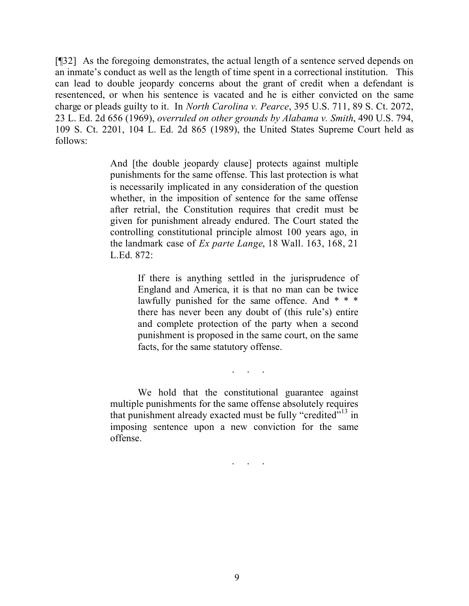[¶32] As the foregoing demonstrates, the actual length of a sentence served depends on an inmate's conduct as well as the length of time spent in a correctional institution. This can lead to double jeopardy concerns about the grant of credit when a defendant is resentenced, or when his sentence is vacated and he is either convicted on the same charge or pleads guilty to it. In *North Carolina v. Pearce*, 395 U.S. 711, 89 S. Ct. 2072, 23 L. Ed. 2d 656 (1969), *overruled on other grounds by Alabama v. Smith*, 490 U.S. 794, 109 S. Ct. 2201, 104 L. Ed. 2d 865 (1989), the United States Supreme Court held as follows:

> And [the double jeopardy clause] protects against multiple punishments for the same offense. This last protection is what is necessarily implicated in any consideration of the question whether, in the imposition of sentence for the same offense after retrial, the Constitution requires that credit must be given for punishment already endured. The Court stated the controlling constitutional principle almost 100 years ago, in the landmark case of *Ex parte Lange*, 18 Wall. 163, 168, 21 L.Ed. 872:

> > If there is anything settled in the jurisprudence of England and America, it is that no man can be twice lawfully punished for the same offence. And \* \* \* there has never been any doubt of (this rule's) entire and complete protection of the party when a second punishment is proposed in the same court, on the same facts, for the same statutory offense.

> > > . . . . .<br>. . . . . .

. . . . . .

We hold that the constitutional guarantee against multiple punishments for the same offense absolutely requires that punishment already exacted must be fully "credited $\cdot$ <sup>13</sup> in imposing sentence upon a new conviction for the same offense.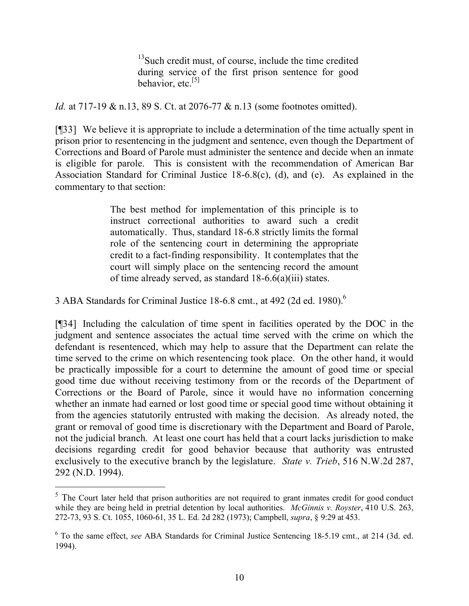$13$ Such credit must, of course, include the time credited during service of the first prison sentence for good behavior, etc. $^{[5]}$ 

*Id.* at 717-19 & n.13, 89 S. Ct. at 2076-77 & n.13 (some footnotes omitted).

[¶33] We believe it is appropriate to include a determination of the time actually spent in prison prior to resentencing in the judgment and sentence, even though the Department of Corrections and Board of Parole must administer the sentence and decide when an inmate is eligible for parole. This is consistent with the recommendation of American Bar Association Standard for Criminal Justice 18-6.8(c), (d), and (e). As explained in the commentary to that section:

> The best method for implementation of this principle is to instruct correctional authorities to award such a credit automatically. Thus, standard 18-6.8 strictly limits the formal role of the sentencing court in determining the appropriate credit to a fact-finding responsibility. It contemplates that the court will simply place on the sentencing record the amount of time already served, as standard 18-6.6(a)(iii) states.

3 ABA Standards for Criminal Justice 18-6.8 cmt., at 492 (2d ed. 1980).<sup>6</sup>

[¶34] Including the calculation of time spent in facilities operated by the DOC in the judgment and sentence associates the actual time served with the crime on which the defendant is resentenced, which may help to assure that the Department can relate the time served to the crime on which resentencing took place. On the other hand, it would be practically impossible for a court to determine the amount of good time or special good time due without receiving testimony from or the records of the Department of Corrections or the Board of Parole, since it would have no information concerning whether an inmate had earned or lost good time or special good time without obtaining it from the agencies statutorily entrusted with making the decision. As already noted, the grant or removal of good time is discretionary with the Department and Board of Parole, not the judicial branch. At least one court has held that a court lacks jurisdiction to make decisions regarding credit for good behavior because that authority was entrusted exclusively to the executive branch by the legislature. *State v. Trieb*, 516 N.W.2d 287, 292 (N.D. 1994).

<sup>&</sup>lt;sup>5</sup> The Court later held that prison authorities are not required to grant inmates credit for good conduct while they are being held in pretrial detention by local authorities. *McGinnis v. Royster*, 410 U.S. 263, 272-73, 93 S. Ct. 1055, 1060-61, 35 L. Ed. 2d 282 (1973); Campbell, *supra*, § 9:29 at 453.

<sup>6</sup> To the same effect, *see* ABA Standards for Criminal Justice Sentencing 18-5.19 cmt., at 214 (3d. ed. 1994).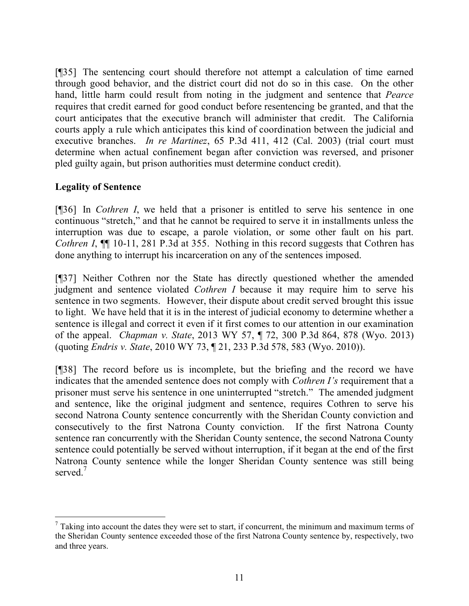[¶35] The sentencing court should therefore not attempt a calculation of time earned through good behavior, and the district court did not do so in this case. On the other hand, little harm could result from noting in the judgment and sentence that *Pearce*  requires that credit earned for good conduct before resentencing be granted, and that the court anticipates that the executive branch will administer that credit. The California courts apply a rule which anticipates this kind of coordination between the judicial and executive branches. *In re Martinez*, 65 P.3d 411, 412 (Cal. 2003) (trial court must determine when actual confinement began after conviction was reversed, and prisoner pled guilty again, but prison authorities must determine conduct credit).

### **Legality of Sentence**

[¶36] In *Cothren I*, we held that a prisoner is entitled to serve his sentence in one continuous "stretch," and that he cannot be required to serve it in installments unless the interruption was due to escape, a parole violation, or some other fault on his part. *Cothren I*,  $\P$  10-11, 281 P.3d at 355. Nothing in this record suggests that Cothren has done anything to interrupt his incarceration on any of the sentences imposed.

[¶37] Neither Cothren nor the State has directly questioned whether the amended judgment and sentence violated *Cothren I* because it may require him to serve his sentence in two segments. However, their dispute about credit served brought this issue to light. We have held that it is in the interest of judicial economy to determine whether a sentence is illegal and correct it even if it first comes to our attention in our examination of the appeal. *Chapman v. State*, 2013 WY 57, ¶ 72, 300 P.3d 864, 878 (Wyo. 2013) (quoting *Endris v. State*, 2010 WY 73, ¶ 21, 233 P.3d 578, 583 (Wyo. 2010)).

[¶38] The record before us is incomplete, but the briefing and the record we have indicates that the amended sentence does not comply with *Cothren I's* requirement that a prisoner must serve his sentence in one uninterrupted "stretch." The amended judgment and sentence, like the original judgment and sentence, requires Cothren to serve his second Natrona County sentence concurrently with the Sheridan County conviction and consecutively to the first Natrona County conviction. If the first Natrona County sentence ran concurrently with the Sheridan County sentence, the second Natrona County sentence could potentially be served without interruption, if it began at the end of the first Natrona County sentence while the longer Sheridan County sentence was still being served.<sup>7</sup>

 $<sup>7</sup>$  Taking into account the dates they were set to start, if concurrent, the minimum and maximum terms of</sup> the Sheridan County sentence exceeded those of the first Natrona County sentence by, respectively, two and three years.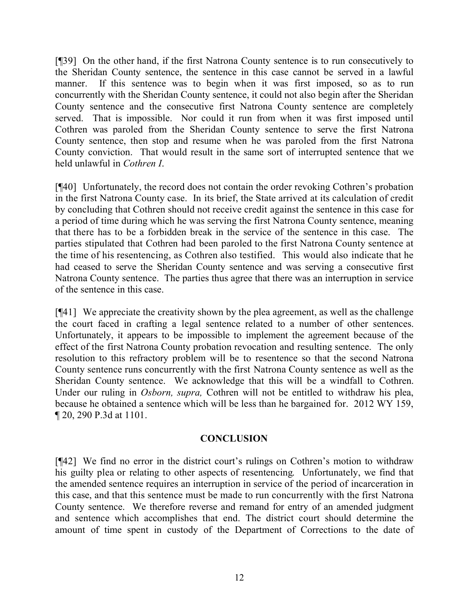[¶39] On the other hand, if the first Natrona County sentence is to run consecutively to the Sheridan County sentence, the sentence in this case cannot be served in a lawful manner. If this sentence was to begin when it was first imposed, so as to run concurrently with the Sheridan County sentence, it could not also begin after the Sheridan County sentence and the consecutive first Natrona County sentence are completely served. That is impossible. Nor could it run from when it was first imposed until Cothren was paroled from the Sheridan County sentence to serve the first Natrona County sentence, then stop and resume when he was paroled from the first Natrona County conviction. That would result in the same sort of interrupted sentence that we held unlawful in *Cothren I*.

[¶40] Unfortunately, the record does not contain the order revoking Cothren's probation in the first Natrona County case. In its brief, the State arrived at its calculation of credit by concluding that Cothren should not receive credit against the sentence in this case for a period of time during which he was serving the first Natrona County sentence, meaning that there has to be a forbidden break in the service of the sentence in this case. The parties stipulated that Cothren had been paroled to the first Natrona County sentence at the time of his resentencing, as Cothren also testified. This would also indicate that he had ceased to serve the Sheridan County sentence and was serving a consecutive first Natrona County sentence. The parties thus agree that there was an interruption in service of the sentence in this case.

[¶41] We appreciate the creativity shown by the plea agreement, as well as the challenge the court faced in crafting a legal sentence related to a number of other sentences. Unfortunately, it appears to be impossible to implement the agreement because of the effect of the first Natrona County probation revocation and resulting sentence. The only resolution to this refractory problem will be to resentence so that the second Natrona County sentence runs concurrently with the first Natrona County sentence as well as the Sheridan County sentence. We acknowledge that this will be a windfall to Cothren. Under our ruling in *Osborn, supra,* Cothren will not be entitled to withdraw his plea, because he obtained a sentence which will be less than he bargained for. 2012 WY 159, ¶ 20, 290 P.3d at 1101.

### **CONCLUSION**

[¶42] We find no error in the district court's rulings on Cothren's motion to withdraw his guilty plea or relating to other aspects of resentencing. Unfortunately, we find that the amended sentence requires an interruption in service of the period of incarceration in this case, and that this sentence must be made to run concurrently with the first Natrona County sentence. We therefore reverse and remand for entry of an amended judgment and sentence which accomplishes that end. The district court should determine the amount of time spent in custody of the Department of Corrections to the date of